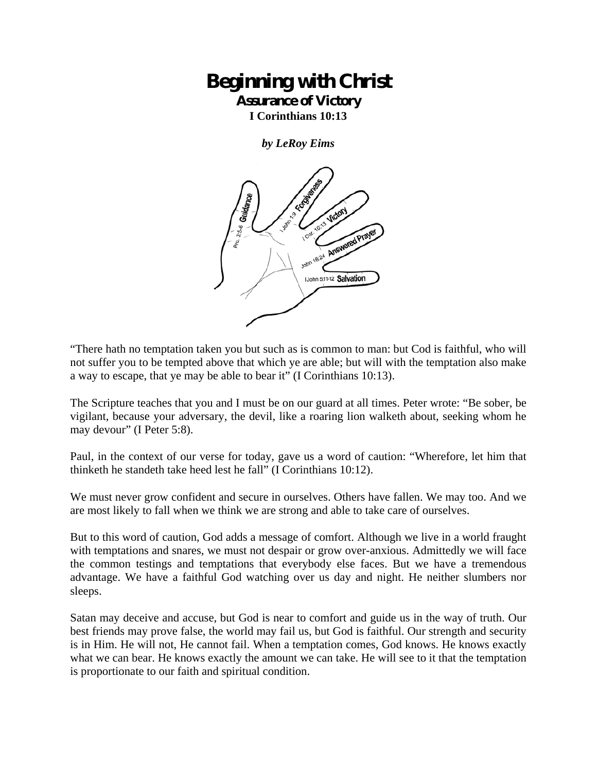## **Beginning with Christ Assurance of Victory**

**I Corinthians 10:13** 

*by LeRoy Eims* 



"There hath no temptation taken you but such as is common to man: but Cod is faithful, who will not suffer you to be tempted above that which ye are able; but will with the temptation also make a way to escape, that ye may be able to bear it" (I Corinthians 10:13).

The Scripture teaches that you and I must be on our guard at all times. Peter wrote: "Be sober, be vigilant, because your adversary, the devil, like a roaring lion walketh about, seeking whom he may devour" (I Peter 5:8).

Paul, in the context of our verse for today, gave us a word of caution: "Wherefore, let him that thinketh he standeth take heed lest he fall" (I Corinthians 10:12).

We must never grow confident and secure in ourselves. Others have fallen. We may too. And we are most likely to fall when we think we are strong and able to take care of ourselves.

But to this word of caution, God adds a message of comfort. Although we live in a world fraught with temptations and snares, we must not despair or grow over-anxious. Admittedly we will face the common testings and temptations that everybody else faces. But we have a tremendous advantage. We have a faithful God watching over us day and night. He neither slumbers nor sleeps.

Satan may deceive and accuse, but God is near to comfort and guide us in the way of truth. Our best friends may prove false, the world may fail us, but God is faithful. Our strength and security is in Him. He will not, He cannot fail. When a temptation comes, God knows. He knows exactly what we can bear. He knows exactly the amount we can take. He will see to it that the temptation is proportionate to our faith and spiritual condition.